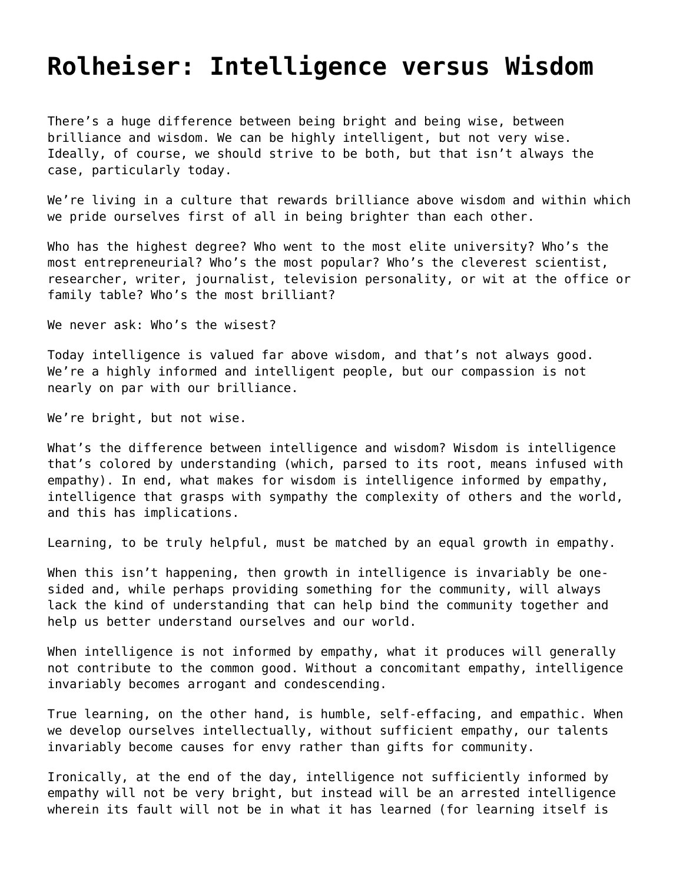## **[Rolheiser: Intelligence versus Wisdom](https://grandinmedia.ca/intelligence-versus-wisdom/)**

There's a huge difference between being bright and being wise, between brilliance and wisdom. We can be highly intelligent, but not very wise. Ideally, of course, we should strive to be both, but that isn't always the case, particularly today.

We're living in a culture that rewards brilliance above wisdom and within which we pride ourselves first of all in being brighter than each other.

Who has the highest degree? Who went to the most elite university? Who's the most entrepreneurial? Who's the most popular? Who's the cleverest scientist, researcher, writer, journalist, television personality, or wit at the office or family table? Who's the most brilliant?

We never ask: Who's the wisest?

Today intelligence is valued far above wisdom, and that's not always good. We're a highly informed and intelligent people, but our compassion is not nearly on par with our brilliance.

We're bright, but not wise.

What's the difference between intelligence and wisdom? Wisdom is intelligence that's colored by understanding (which, parsed to its root, means infused with empathy). In end, what makes for wisdom is intelligence informed by empathy, intelligence that grasps with sympathy the complexity of others and the world, and this has implications.

Learning, to be truly helpful, must be matched by an equal growth in empathy.

When this isn't happening, then growth in intelligence is invariably be onesided and, while perhaps providing something for the community, will always lack the kind of understanding that can help bind the community together and help us better understand ourselves and our world.

When intelligence is not informed by empathy, what it produces will generally not contribute to the common good. Without a concomitant empathy, intelligence invariably becomes arrogant and condescending.

True learning, on the other hand, is humble, self-effacing, and empathic. When we develop ourselves intellectually, without sufficient empathy, our talents invariably become causes for envy rather than gifts for community.

Ironically, at the end of the day, intelligence not sufficiently informed by empathy will not be very bright, but instead will be an arrested intelligence wherein its fault will not be in what it has learned (for learning itself is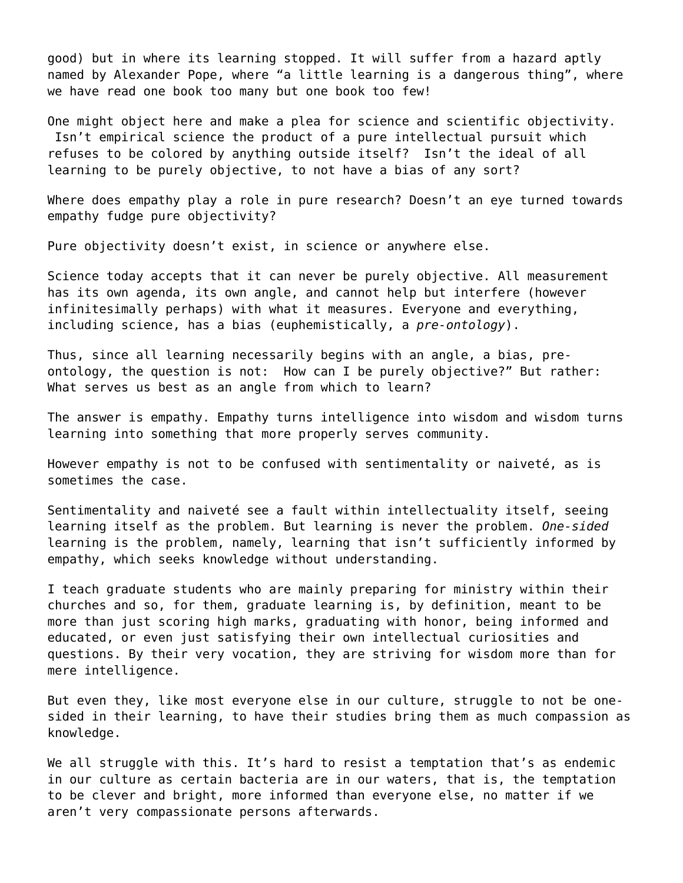good) but in where its learning stopped. It will suffer from a hazard aptly named by Alexander Pope, where "a little learning is a dangerous thing", where we have read one book too many but one book too few!

One might object here and make a plea for science and scientific objectivity. Isn't empirical science the product of a pure intellectual pursuit which refuses to be colored by anything outside itself? Isn't the ideal of all learning to be purely objective, to not have a bias of any sort?

Where does empathy play a role in pure research? Doesn't an eye turned towards empathy fudge pure objectivity?

Pure objectivity doesn't exist, in science or anywhere else.

Science today accepts that it can never be purely objective. All measurement has its own agenda, its own angle, and cannot help but interfere (however infinitesimally perhaps) with what it measures. Everyone and everything, including science, has a bias (euphemistically, a *pre-ontology*).

Thus, since all learning necessarily begins with an angle, a bias, preontology, the question is not: How can I be purely objective?" But rather: What serves us best as an angle from which to learn?

The answer is empathy. Empathy turns intelligence into wisdom and wisdom turns learning into something that more properly serves community.

However empathy is not to be confused with sentimentality or naiveté, as is sometimes the case.

Sentimentality and naiveté see a fault within intellectuality itself, seeing learning itself as the problem. But learning is never the problem. *One-sided* learning is the problem, namely, learning that isn't sufficiently informed by empathy, which seeks knowledge without understanding.

I teach graduate students who are mainly preparing for ministry within their churches and so, for them, graduate learning is, by definition, meant to be more than just scoring high marks, graduating with honor, being informed and educated, or even just satisfying their own intellectual curiosities and questions. By their very vocation, they are striving for wisdom more than for mere intelligence.

But even they, like most everyone else in our culture, struggle to not be onesided in their learning, to have their studies bring them as much compassion as knowledge.

We all struggle with this. It's hard to resist a temptation that's as endemic in our culture as certain bacteria are in our waters, that is, the temptation to be clever and bright, more informed than everyone else, no matter if we aren't very compassionate persons afterwards.